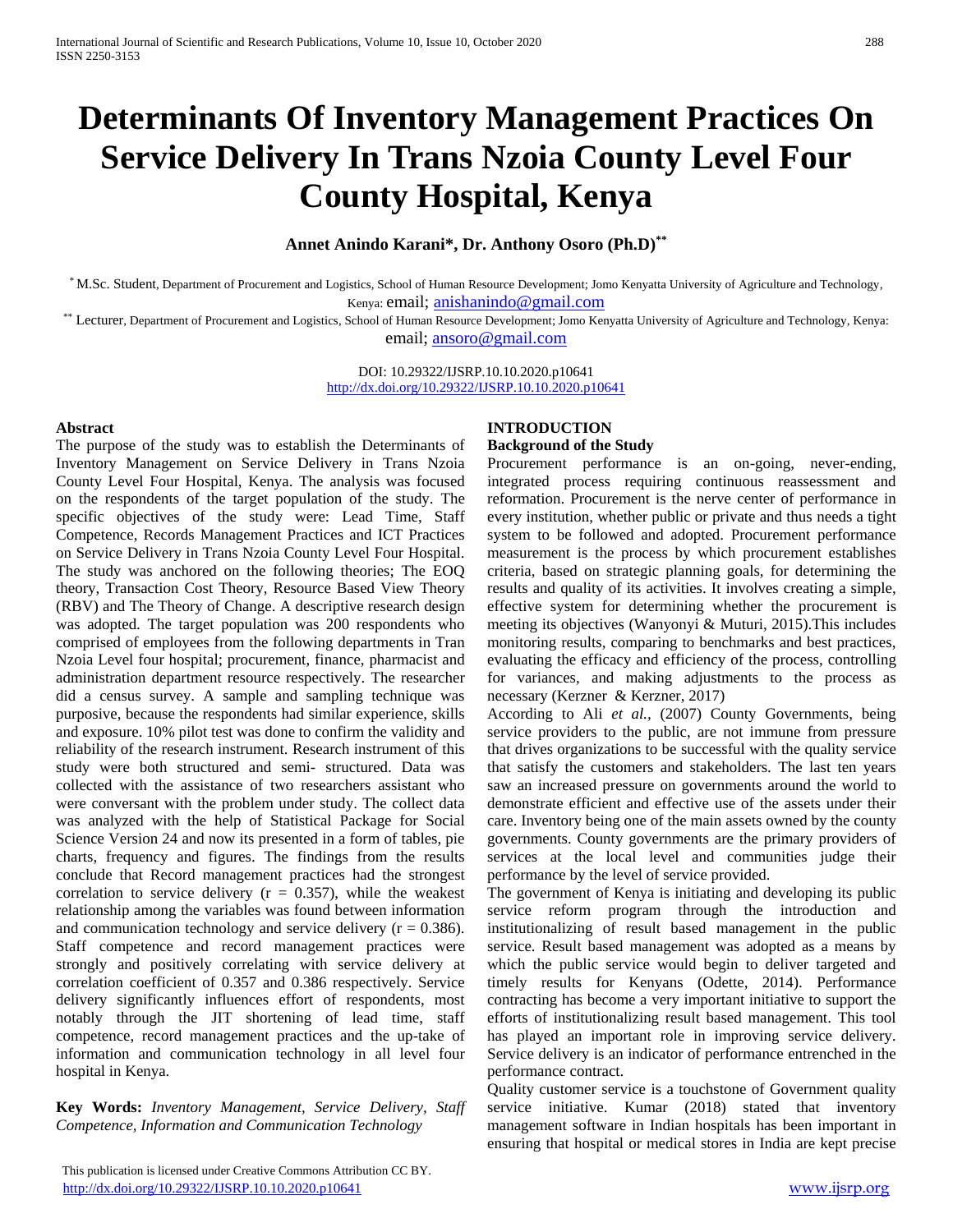# **Determinants Of Inventory Management Practices On Service Delivery In Trans Nzoia County Level Four County Hospital, Kenya**

# **Annet Anindo Karani\*, Dr. Anthony Osoro (Ph.D)\*\***

\* M.Sc. Student, Department of Procurement and Logistics, School of Human Resource Development; Jomo Kenyatta University of Agriculture and Technology, Kenya: email; [anishanindo@gmail.com](mailto:anishanindo@gmail.com)

\*\* Lecturer, Department of Procurement and Logistics, School of Human Resource Development; Jomo Kenyatta University of Agriculture and Technology, Kenya: email; [ansoro@gmail.com](mailto:ansoro@gmail.com)

> DOI: 10.29322/IJSRP.10.10.2020.p10641 <http://dx.doi.org/10.29322/IJSRP.10.10.2020.p10641>

#### **Abstract**

The purpose of the study was to establish the Determinants of Inventory Management on Service Delivery in Trans Nzoia County Level Four Hospital, Kenya. The analysis was focused on the respondents of the target population of the study. The specific objectives of the study were: Lead Time, Staff Competence, Records Management Practices and ICT Practices on Service Delivery in Trans Nzoia County Level Four Hospital. The study was anchored on the following theories; The EOQ theory, Transaction Cost Theory, Resource Based View Theory (RBV) and The Theory of Change. A descriptive research design was adopted. The target population was 200 respondents who comprised of employees from the following departments in Tran Nzoia Level four hospital; procurement, finance, pharmacist and administration department resource respectively. The researcher did a census survey. A sample and sampling technique was purposive, because the respondents had similar experience, skills and exposure. 10% pilot test was done to confirm the validity and reliability of the research instrument. Research instrument of this study were both structured and semi- structured. Data was collected with the assistance of two researchers assistant who were conversant with the problem under study. The collect data was analyzed with the help of Statistical Package for Social Science Version 24 and now its presented in a form of tables, pie charts, frequency and figures. The findings from the results conclude that Record management practices had the strongest correlation to service delivery  $(r = 0.357)$ , while the weakest relationship among the variables was found between information and communication technology and service delivery  $(r = 0.386)$ . Staff competence and record management practices were strongly and positively correlating with service delivery at correlation coefficient of 0.357 and 0.386 respectively. Service delivery significantly influences effort of respondents, most notably through the JIT shortening of lead time, staff competence, record management practices and the up-take of information and communication technology in all level four hospital in Kenya.

**Key Words:** *Inventory Management, Service Delivery, Staff Competence, Information and Communication Technology*

## **INTRODUCTION**

## **Background of the Study**

Procurement performance is an on-going, never-ending, integrated process requiring continuous reassessment and reformation. Procurement is the nerve center of performance in every institution, whether public or private and thus needs a tight system to be followed and adopted. Procurement performance measurement is the process by which procurement establishes criteria, based on strategic planning goals, for determining the results and quality of its activities. It involves creating a simple, effective system for determining whether the procurement is meeting its objectives (Wanyonyi & Muturi, 2015).This includes monitoring results, comparing to benchmarks and best practices, evaluating the efficacy and efficiency of the process, controlling for variances, and making adjustments to the process as necessary (Kerzner & Kerzner, 2017)

According to Ali *et al.,* (2007) County Governments, being service providers to the public, are not immune from pressure that drives organizations to be successful with the quality service that satisfy the customers and stakeholders. The last ten years saw an increased pressure on governments around the world to demonstrate efficient and effective use of the assets under their care. Inventory being one of the main assets owned by the county governments. County governments are the primary providers of services at the local level and communities judge their performance by the level of service provided.

The government of Kenya is initiating and developing its public service reform program through the introduction and institutionalizing of result based management in the public service. Result based management was adopted as a means by which the public service would begin to deliver targeted and timely results for Kenyans (Odette, 2014). Performance contracting has become a very important initiative to support the efforts of institutionalizing result based management. This tool has played an important role in improving service delivery. Service delivery is an indicator of performance entrenched in the performance contract.

Quality customer service is a touchstone of Government quality service initiative. Kumar (2018) stated that inventory management software in Indian hospitals has been important in ensuring that hospital or medical stores in India are kept precise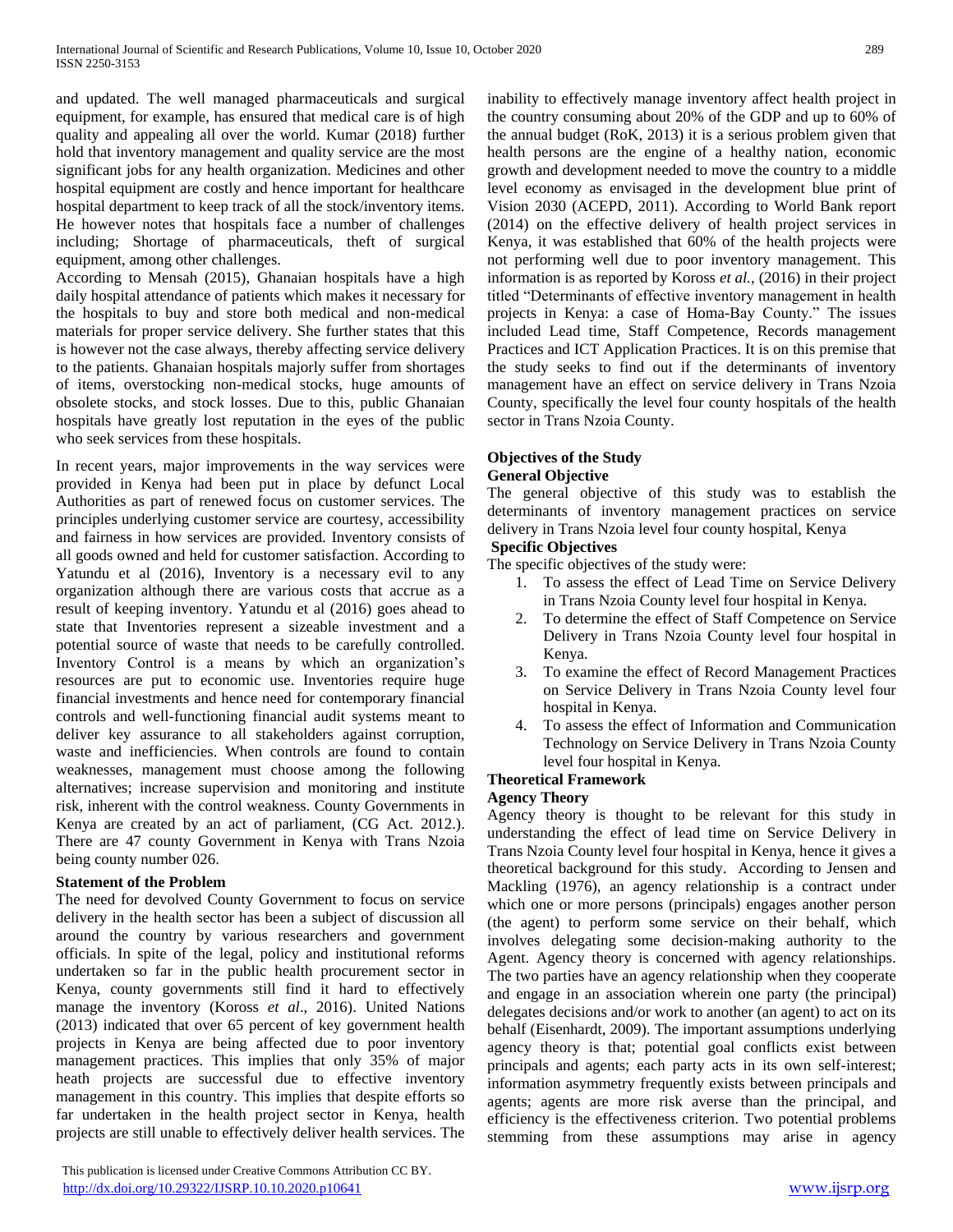and updated. The well managed pharmaceuticals and surgical equipment, for example, has ensured that medical care is of high quality and appealing all over the world. Kumar (2018) further hold that inventory management and quality service are the most significant jobs for any health organization. Medicines and other hospital equipment are costly and hence important for healthcare hospital department to keep track of all the stock/inventory items. He however notes that hospitals face a number of challenges including; Shortage of pharmaceuticals, theft of surgical equipment, among other challenges.

According to Mensah (2015), Ghanaian hospitals have a high daily hospital attendance of patients which makes it necessary for the hospitals to buy and store both medical and non-medical materials for proper service delivery. She further states that this is however not the case always, thereby affecting service delivery to the patients. Ghanaian hospitals majorly suffer from shortages of items, overstocking non-medical stocks, huge amounts of obsolete stocks, and stock losses. Due to this, public Ghanaian hospitals have greatly lost reputation in the eyes of the public who seek services from these hospitals.

In recent years, major improvements in the way services were provided in Kenya had been put in place by defunct Local Authorities as part of renewed focus on customer services. The principles underlying customer service are courtesy, accessibility and fairness in how services are provided. Inventory consists of all goods owned and held for customer satisfaction. According to Yatundu et al (2016), Inventory is a necessary evil to any organization although there are various costs that accrue as a result of keeping inventory. Yatundu et al (2016) goes ahead to state that Inventories represent a sizeable investment and a potential source of waste that needs to be carefully controlled. Inventory Control is a means by which an organization's resources are put to economic use. Inventories require huge financial investments and hence need for contemporary financial controls and well-functioning financial audit systems meant to deliver key assurance to all stakeholders against corruption, waste and inefficiencies. When controls are found to contain weaknesses, management must choose among the following alternatives; increase supervision and monitoring and institute risk, inherent with the control weakness. County Governments in Kenya are created by an act of parliament, (CG Act. 2012.). There are 47 county Government in Kenya with Trans Nzoia being county number 026.

# **Statement of the Problem**

The need for devolved County Government to focus on service delivery in the health sector has been a subject of discussion all around the country by various researchers and government officials. In spite of the legal, policy and institutional reforms undertaken so far in the public health procurement sector in Kenya, county governments still find it hard to effectively manage the inventory (Koross *et al*., 2016). United Nations (2013) indicated that over 65 percent of key government health projects in Kenya are being affected due to poor inventory management practices. This implies that only 35% of major heath projects are successful due to effective inventory management in this country. This implies that despite efforts so far undertaken in the health project sector in Kenya, health projects are still unable to effectively deliver health services. The

 This publication is licensed under Creative Commons Attribution CC BY. <http://dx.doi.org/10.29322/IJSRP.10.10.2020.p10641> [www.ijsrp.org](http://ijsrp.org/)

inability to effectively manage inventory affect health project in the country consuming about 20% of the GDP and up to 60% of the annual budget (RoK, 2013) it is a serious problem given that health persons are the engine of a healthy nation, economic growth and development needed to move the country to a middle level economy as envisaged in the development blue print of Vision 2030 (ACEPD, 2011). According to World Bank report (2014) on the effective delivery of health project services in Kenya, it was established that 60% of the health projects were not performing well due to poor inventory management. This information is as reported by Koross *et al.,* (2016) in their project titled "Determinants of effective inventory management in health projects in Kenya: a case of Homa-Bay County." The issues included Lead time, Staff Competence, Records management Practices and ICT Application Practices. It is on this premise that the study seeks to find out if the determinants of inventory management have an effect on service delivery in Trans Nzoia County, specifically the level four county hospitals of the health sector in Trans Nzoia County.

#### **Objectives of the Study General Objective**

The general objective of this study was to establish the determinants of inventory management practices on service delivery in Trans Nzoia level four county hospital, Kenya

# **Specific Objectives**

The specific objectives of the study were:

- 1. To assess the effect of Lead Time on Service Delivery in Trans Nzoia County level four hospital in Kenya.
- 2. To determine the effect of Staff Competence on Service Delivery in Trans Nzoia County level four hospital in Kenya.
- 3. To examine the effect of Record Management Practices on Service Delivery in Trans Nzoia County level four hospital in Kenya.
- 4. To assess the effect of Information and Communication Technology on Service Delivery in Trans Nzoia County level four hospital in Kenya.

# **Theoretical Framework**

# **Agency Theory**

Agency theory is thought to be relevant for this study in understanding the effect of lead time on Service Delivery in Trans Nzoia County level four hospital in Kenya, hence it gives a theoretical background for this study. According to Jensen and Mackling (1976), an agency relationship is a contract under which one or more persons (principals) engages another person (the agent) to perform some service on their behalf, which involves delegating some decision-making authority to the Agent. Agency theory is concerned with agency relationships. The two parties have an agency relationship when they cooperate and engage in an association wherein one party (the principal) delegates decisions and/or work to another (an agent) to act on its behalf (Eisenhardt, 2009). The important assumptions underlying agency theory is that; potential goal conflicts exist between principals and agents; each party acts in its own self-interest; information asymmetry frequently exists between principals and agents; agents are more risk averse than the principal, and efficiency is the effectiveness criterion. Two potential problems stemming from these assumptions may arise in agency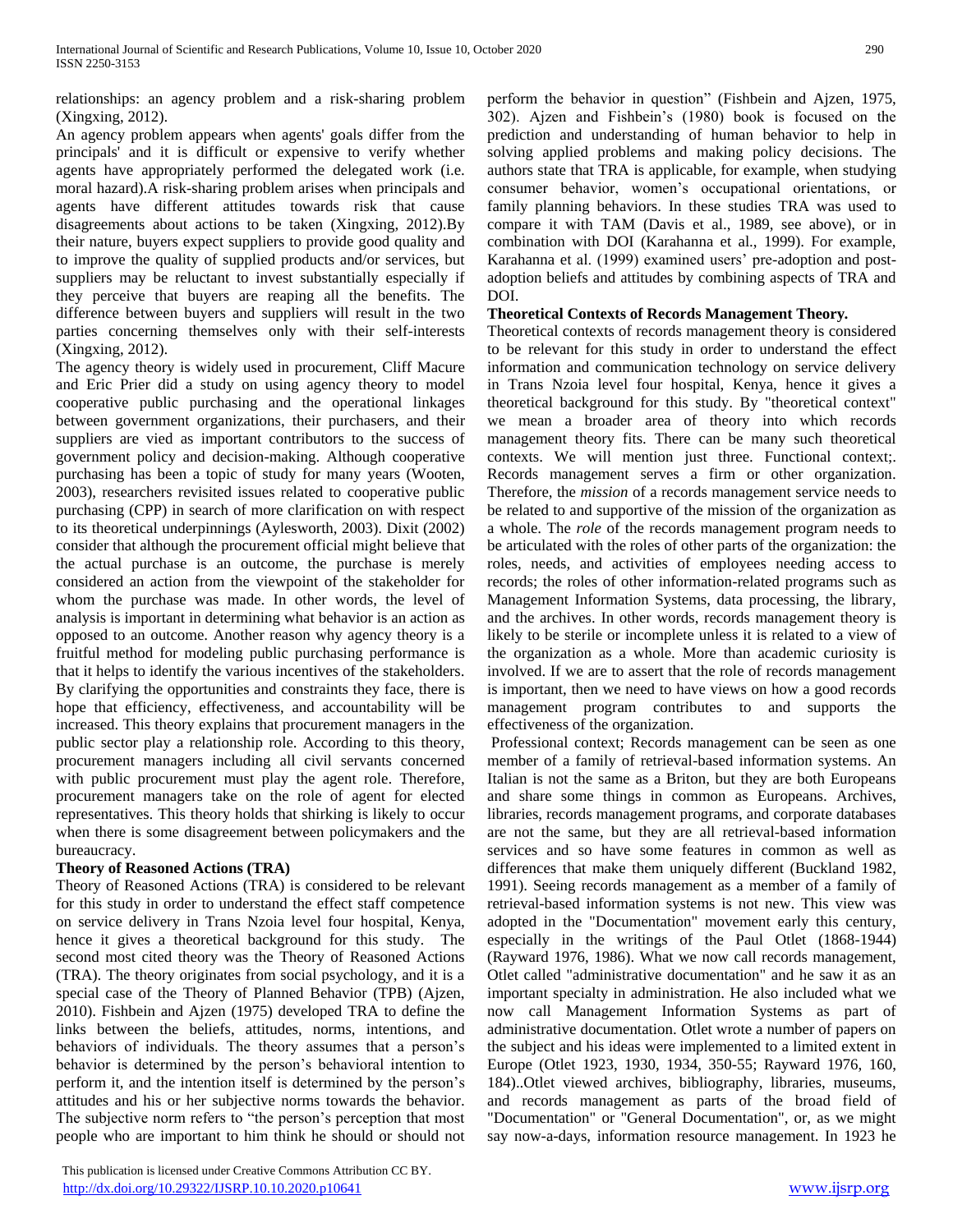relationships: an agency problem and a risk-sharing problem (Xingxing, 2012).

An agency problem appears when agents' goals differ from the principals' and it is difficult or expensive to verify whether agents have appropriately performed the delegated work (i.e. moral hazard).A risk-sharing problem arises when principals and agents have different attitudes towards risk that cause disagreements about actions to be taken (Xingxing, 2012).By their nature, buyers expect suppliers to provide good quality and to improve the quality of supplied products and/or services, but suppliers may be reluctant to invest substantially especially if they perceive that buyers are reaping all the benefits. The difference between buyers and suppliers will result in the two parties concerning themselves only with their self-interests (Xingxing, 2012).

The agency theory is widely used in procurement, Cliff Macure and Eric Prier did a study on using agency theory to model cooperative public purchasing and the operational linkages between government organizations, their purchasers, and their suppliers are vied as important contributors to the success of government policy and decision-making. Although cooperative purchasing has been a topic of study for many years (Wooten, 2003), researchers revisited issues related to cooperative public purchasing (CPP) in search of more clarification on with respect to its theoretical underpinnings (Aylesworth, 2003). Dixit (2002) consider that although the procurement official might believe that the actual purchase is an outcome, the purchase is merely considered an action from the viewpoint of the stakeholder for whom the purchase was made. In other words, the level of analysis is important in determining what behavior is an action as opposed to an outcome. Another reason why agency theory is a fruitful method for modeling public purchasing performance is that it helps to identify the various incentives of the stakeholders. By clarifying the opportunities and constraints they face, there is hope that efficiency, effectiveness, and accountability will be increased. This theory explains that procurement managers in the public sector play a relationship role. According to this theory, procurement managers including all civil servants concerned with public procurement must play the agent role. Therefore, procurement managers take on the role of agent for elected representatives. This theory holds that shirking is likely to occur when there is some disagreement between policymakers and the bureaucracy.

# **Theory of Reasoned Actions (TRA)**

Theory of Reasoned Actions (TRA) is considered to be relevant for this study in order to understand the effect staff competence on service delivery in Trans Nzoia level four hospital, Kenya, hence it gives a theoretical background for this study. The second most cited theory was the Theory of Reasoned Actions (TRA). The theory originates from social psychology, and it is a special case of the Theory of Planned Behavior (TPB) (Ajzen, 2010). Fishbein and Ajzen (1975) developed TRA to define the links between the beliefs, attitudes, norms, intentions, and behaviors of individuals. The theory assumes that a person's behavior is determined by the person's behavioral intention to perform it, and the intention itself is determined by the person's attitudes and his or her subjective norms towards the behavior. The subjective norm refers to "the person's perception that most people who are important to him think he should or should not

 This publication is licensed under Creative Commons Attribution CC BY. <http://dx.doi.org/10.29322/IJSRP.10.10.2020.p10641> [www.ijsrp.org](http://ijsrp.org/)

perform the behavior in question" (Fishbein and Ajzen, 1975, 302). Ajzen and Fishbein's (1980) book is focused on the prediction and understanding of human behavior to help in solving applied problems and making policy decisions. The authors state that TRA is applicable, for example, when studying consumer behavior, women's occupational orientations, or family planning behaviors. In these studies TRA was used to compare it with TAM (Davis et al., 1989, see above), or in combination with DOI (Karahanna et al., 1999). For example, Karahanna et al. (1999) examined users' pre-adoption and postadoption beliefs and attitudes by combining aspects of TRA and DOI.

## **Theoretical Contexts of Records Management Theory***.*

Theoretical contexts of records management theory is considered to be relevant for this study in order to understand the effect information and communication technology on service delivery in Trans Nzoia level four hospital, Kenya, hence it gives a theoretical background for this study. By "theoretical context" we mean a broader area of theory into which records management theory fits. There can be many such theoretical contexts. We will mention just three. Functional context;. Records management serves a firm or other organization. Therefore, the *mission* of a records management service needs to be related to and supportive of the mission of the organization as a whole. The *role* of the records management program needs to be articulated with the roles of other parts of the organization: the roles, needs, and activities of employees needing access to records; the roles of other information-related programs such as Management Information Systems, data processing, the library, and the archives. In other words, records management theory is likely to be sterile or incomplete unless it is related to a view of the organization as a whole. More than academic curiosity is involved. If we are to assert that the role of records management is important, then we need to have views on how a good records management program contributes to and supports the effectiveness of the organization.

Professional context; Records management can be seen as one member of a family of retrieval-based information systems. An Italian is not the same as a Briton, but they are both Europeans and share some things in common as Europeans. Archives, libraries, records management programs, and corporate databases are not the same, but they are all retrieval-based information services and so have some features in common as well as differences that make them uniquely different (Buckland 1982, 1991). Seeing records management as a member of a family of retrieval-based information systems is not new. This view was adopted in the "Documentation" movement early this century, especially in the writings of the Paul Otlet (1868-1944) (Rayward 1976, 1986). What we now call records management, Otlet called "administrative documentation" and he saw it as an important specialty in administration. He also included what we now call Management Information Systems as part of administrative documentation. Otlet wrote a number of papers on the subject and his ideas were implemented to a limited extent in Europe (Otlet 1923, 1930, 1934, 350-55; Rayward 1976, 160, 184)..Otlet viewed archives, bibliography, libraries, museums, and records management as parts of the broad field of "Documentation" or "General Documentation", or, as we might say now-a-days, information resource management. In 1923 he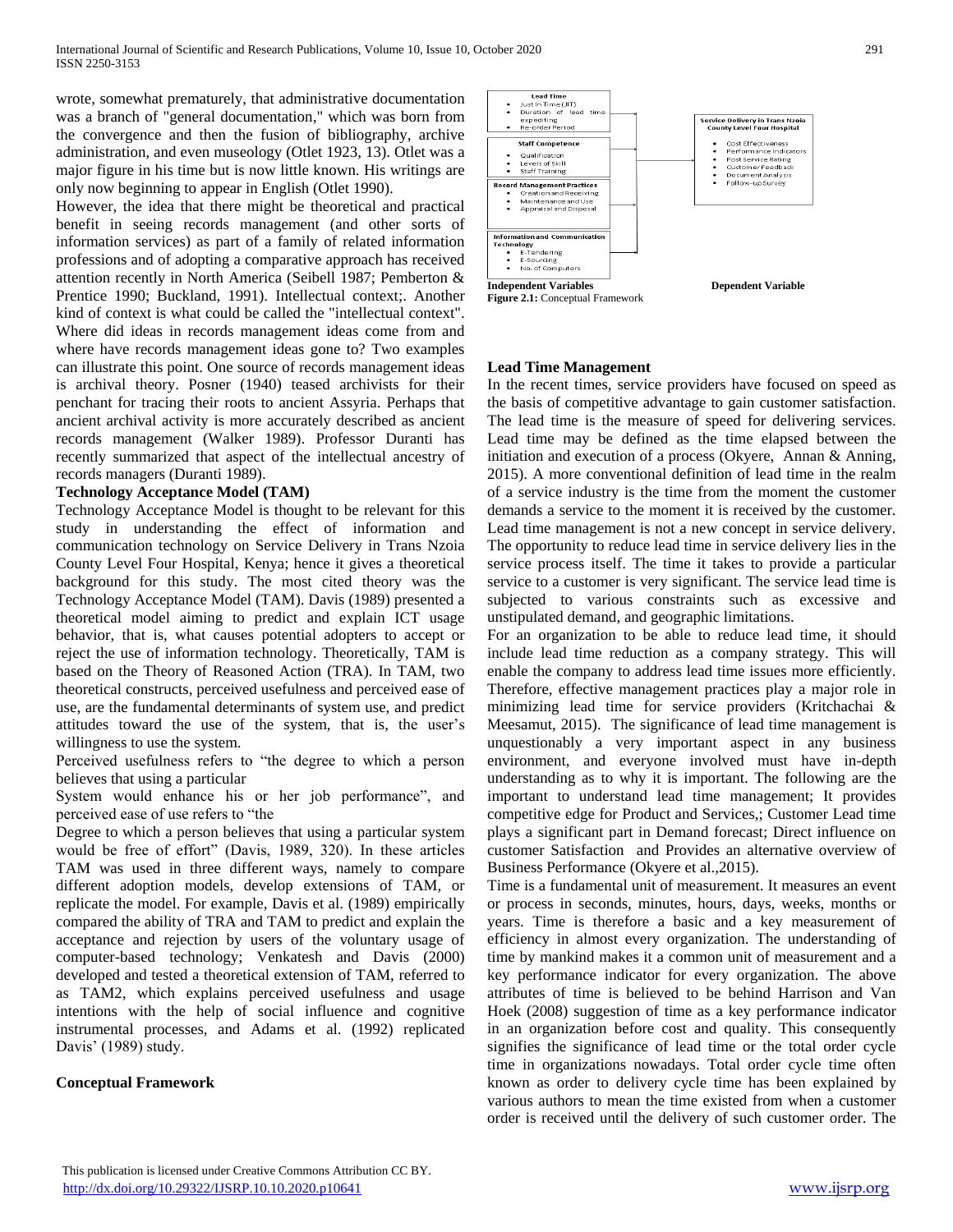wrote, somewhat prematurely, that administrative documentation was a branch of "general documentation," which was born from the convergence and then the fusion of bibliography, archive administration, and even museology (Otlet 1923, 13). Otlet was a major figure in his time but is now little known. His writings are only now beginning to appear in English (Otlet 1990).

However, the idea that there might be theoretical and practical benefit in seeing records management (and other sorts of information services) as part of a family of related information professions and of adopting a comparative approach has received attention recently in North America (Seibell 1987; Pemberton & Prentice 1990; Buckland, 1991). Intellectual context;. Another kind of context is what could be called the "intellectual context". Where did ideas in records management ideas come from and where have records management ideas gone to? Two examples can illustrate this point. One source of records management ideas is archival theory. Posner (1940) teased archivists for their penchant for tracing their roots to ancient Assyria. Perhaps that ancient archival activity is more accurately described as ancient records management (Walker 1989). Professor Duranti has recently summarized that aspect of the intellectual ancestry of records managers (Duranti 1989).

## **Technology Acceptance Model (TAM)**

Technology Acceptance Model is thought to be relevant for this study in understanding the effect of information and communication technology on Service Delivery in Trans Nzoia County Level Four Hospital, Kenya; hence it gives a theoretical background for this study. The most cited theory was the Technology Acceptance Model (TAM). Davis (1989) presented a theoretical model aiming to predict and explain ICT usage behavior, that is, what causes potential adopters to accept or reject the use of information technology. Theoretically, TAM is based on the Theory of Reasoned Action (TRA). In TAM, two theoretical constructs, perceived usefulness and perceived ease of use, are the fundamental determinants of system use, and predict attitudes toward the use of the system, that is, the user's willingness to use the system.

Perceived usefulness refers to "the degree to which a person believes that using a particular

System would enhance his or her job performance", and perceived ease of use refers to "the

Degree to which a person believes that using a particular system would be free of effort" (Davis, 1989, 320). In these articles TAM was used in three different ways, namely to compare different adoption models, develop extensions of TAM, or replicate the model. For example, Davis et al. (1989) empirically compared the ability of TRA and TAM to predict and explain the acceptance and rejection by users of the voluntary usage of computer-based technology; Venkatesh and Davis (2000) developed and tested a theoretical extension of TAM, referred to as TAM2, which explains perceived usefulness and usage intentions with the help of social influence and cognitive instrumental processes, and Adams et al. (1992) replicated Davis' (1989) study.

# **Conceptual Framework**



## **Lead Time Management**

In the recent times, service providers have focused on speed as the basis of competitive advantage to gain customer satisfaction. The lead time is the measure of speed for delivering services. Lead time may be defined as the time elapsed between the initiation and execution of a process (Okyere, Annan & Anning, 2015). A more conventional definition of lead time in the realm of a service industry is the time from the moment the customer demands a service to the moment it is received by the customer. Lead time management is not a new concept in service delivery. The opportunity to reduce lead time in service delivery lies in the service process itself. The time it takes to provide a particular service to a customer is very significant. The service lead time is subjected to various constraints such as excessive and unstipulated demand, and geographic limitations.

For an organization to be able to reduce lead time, it should include lead time reduction as a company strategy. This will enable the company to address lead time issues more efficiently. Therefore, effective management practices play a major role in minimizing lead time for service providers (Kritchachai & Meesamut, 2015). The significance of lead time management is unquestionably a very important aspect in any business environment, and everyone involved must have in-depth understanding as to why it is important. The following are the important to understand lead time management; It provides competitive edge for Product and Services,; Customer Lead time plays a significant part in Demand forecast; Direct influence on customer Satisfaction and Provides an alternative overview of Business Performance (Okyere et al.,2015).

Time is a fundamental unit of measurement. It measures an event or process in seconds, minutes, hours, days, weeks, months or years. Time is therefore a basic and a key measurement of efficiency in almost every organization. The understanding of time by mankind makes it a common unit of measurement and a key performance indicator for every organization. The above attributes of time is believed to be behind Harrison and Van Hoek (2008) suggestion of time as a key performance indicator in an organization before cost and quality. This consequently signifies the significance of lead time or the total order cycle time in organizations nowadays. Total order cycle time often known as order to delivery cycle time has been explained by various authors to mean the time existed from when a customer order is received until the delivery of such customer order. The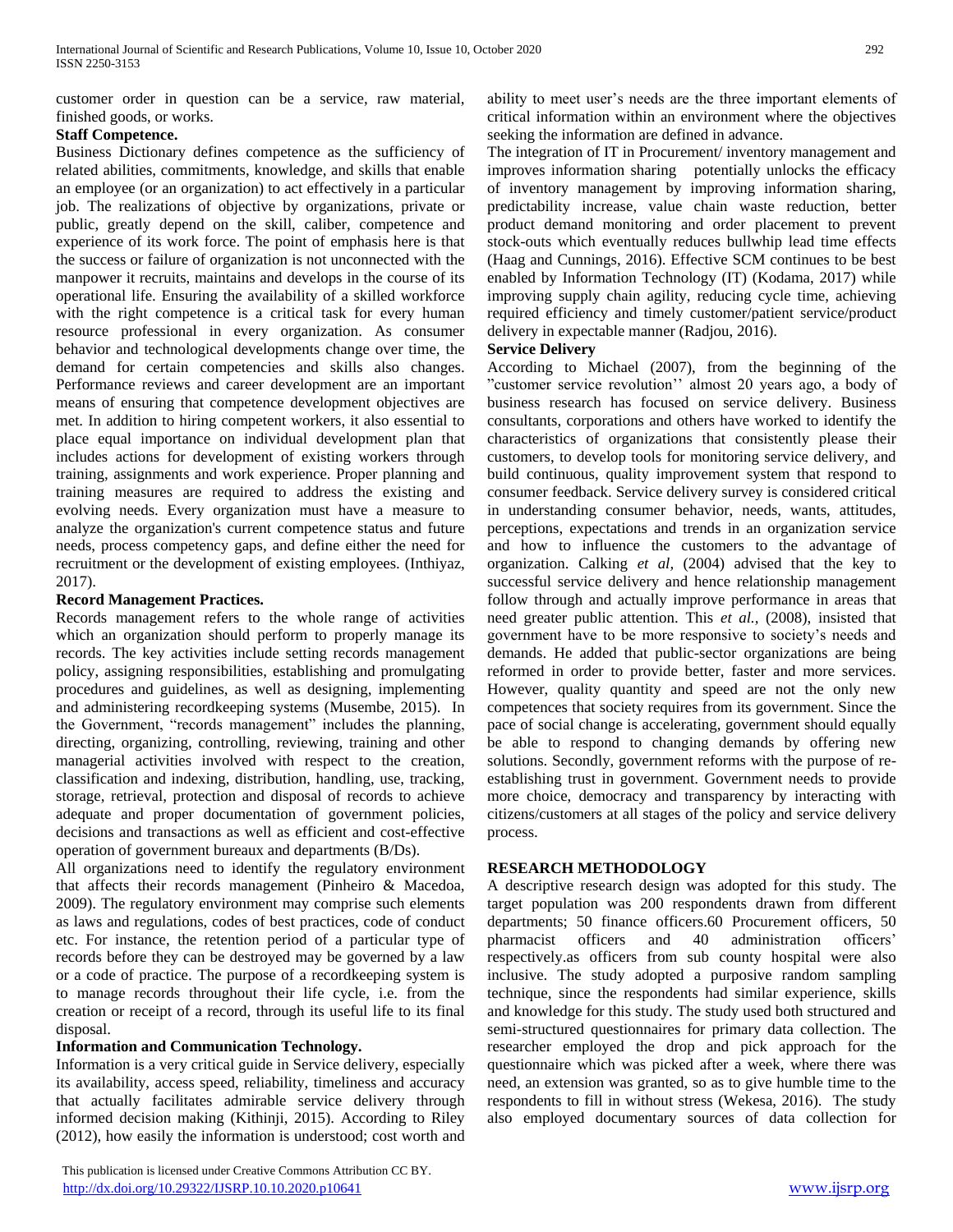customer order in question can be a service, raw material, finished goods, or works.

## **Staff Competence.**

Business Dictionary defines competence as the sufficiency of related abilities, commitments, knowledge, and skills that enable an employee (or an organization) to act effectively in a particular job. The realizations of objective by organizations, private or public, greatly depend on the skill, caliber, competence and experience of its work force. The point of emphasis here is that the success or failure of organization is not unconnected with the manpower it recruits, maintains and develops in the course of its operational life. Ensuring the availability of a skilled workforce with the right competence is a critical task for every human resource professional in every organization. As consumer behavior and technological developments change over time, the demand for certain competencies and skills also changes. Performance reviews and career development are an important means of ensuring that competence development objectives are met. In addition to hiring competent workers, it also essential to place equal importance on individual development plan that includes actions for development of existing workers through training, assignments and work experience. Proper planning and training measures are required to address the existing and evolving needs. Every organization must have a measure to analyze the organization's current competence status and future needs, process competency gaps, and define either the need for recruitment or the development of existing employees. (Inthiyaz, 2017).

# **Record Management Practices.**

Records management refers to the whole range of activities which an organization should perform to properly manage its records. The key activities include setting records management policy, assigning responsibilities, establishing and promulgating procedures and guidelines, as well as designing, implementing and administering recordkeeping systems (Musembe, 2015). In the Government, "records management" includes the planning, directing, organizing, controlling, reviewing, training and other managerial activities involved with respect to the creation, classification and indexing, distribution, handling, use, tracking, storage, retrieval, protection and disposal of records to achieve adequate and proper documentation of government policies, decisions and transactions as well as efficient and cost-effective operation of government bureaux and departments (B/Ds).

All organizations need to identify the regulatory environment that affects their records management (Pinheiro & Macedoa, 2009). The regulatory environment may comprise such elements as laws and regulations, codes of best practices, code of conduct etc. For instance, the retention period of a particular type of records before they can be destroyed may be governed by a law or a code of practice. The purpose of a recordkeeping system is to manage records throughout their life cycle, i.e. from the creation or receipt of a record, through its useful life to its final disposal.

# **Information and Communication Technology.**

Information is a very critical guide in Service delivery, especially its availability, access speed, reliability, timeliness and accuracy that actually facilitates admirable service delivery through informed decision making (Kithinji, 2015). According to Riley (2012), how easily the information is understood; cost worth and

 This publication is licensed under Creative Commons Attribution CC BY. <http://dx.doi.org/10.29322/IJSRP.10.10.2020.p10641> [www.ijsrp.org](http://ijsrp.org/)

ability to meet user's needs are the three important elements of critical information within an environment where the objectives seeking the information are defined in advance.

The integration of IT in Procurement/ inventory management and improves information sharing potentially unlocks the efficacy of inventory management by improving information sharing, predictability increase, value chain waste reduction, better product demand monitoring and order placement to prevent stock-outs which eventually reduces bullwhip lead time effects (Haag and Cunnings, 2016). Effective SCM continues to be best enabled by Information Technology (IT) (Kodama, 2017) while improving supply chain agility, reducing cycle time, achieving required efficiency and timely customer/patient service/product delivery in expectable manner (Radjou, 2016).

## **Service Delivery**

According to Michael (2007), from the beginning of the "customer service revolution'' almost 20 years ago, a body of business research has focused on service delivery. Business consultants, corporations and others have worked to identify the characteristics of organizations that consistently please their customers, to develop tools for monitoring service delivery, and build continuous, quality improvement system that respond to consumer feedback. Service delivery survey is considered critical in understanding consumer behavior, needs, wants, attitudes, perceptions, expectations and trends in an organization service and how to influence the customers to the advantage of organization. Calking *et al,* (2004) advised that the key to successful service delivery and hence relationship management follow through and actually improve performance in areas that need greater public attention. This *et al.,* (2008), insisted that government have to be more responsive to society's needs and demands. He added that public-sector organizations are being reformed in order to provide better, faster and more services. However, quality quantity and speed are not the only new competences that society requires from its government. Since the pace of social change is accelerating, government should equally be able to respond to changing demands by offering new solutions. Secondly, government reforms with the purpose of reestablishing trust in government. Government needs to provide more choice, democracy and transparency by interacting with citizens/customers at all stages of the policy and service delivery process.

# **RESEARCH METHODOLOGY**

A descriptive research design was adopted for this study. The target population was 200 respondents drawn from different departments; 50 finance officers.60 Procurement officers, 50 pharmacist officers and 40 administration officers' respectively.as officers from sub county hospital were also inclusive. The study adopted a purposive random sampling technique, since the respondents had similar experience, skills and knowledge for this study. The study used both structured and semi-structured questionnaires for primary data collection. The researcher employed the drop and pick approach for the questionnaire which was picked after a week, where there was need, an extension was granted, so as to give humble time to the respondents to fill in without stress (Wekesa, 2016). The study also employed documentary sources of data collection for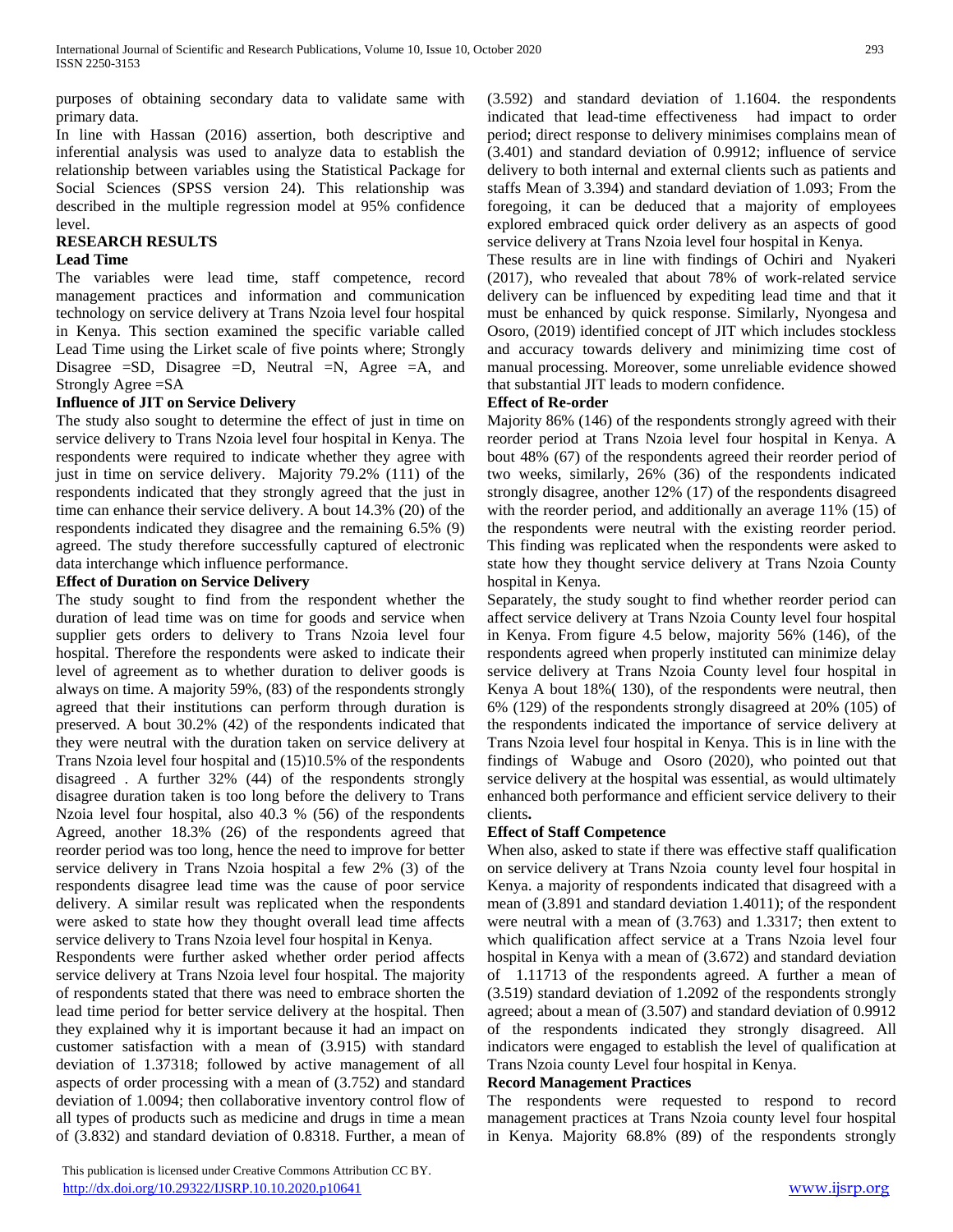purposes of obtaining secondary data to validate same with primary data.

In line with Hassan (2016) assertion, both descriptive and inferential analysis was used to analyze data to establish the relationship between variables using the Statistical Package for Social Sciences (SPSS version 24). This relationship was described in the multiple regression model at 95% confidence level.

## **RESEARCH RESULTS**

### **Lead Time**

The variables were lead time, staff competence, record management practices and information and communication technology on service delivery at Trans Nzoia level four hospital in Kenya. This section examined the specific variable called Lead Time using the Lirket scale of five points where; Strongly Disagree  $= SD$ , Disagree  $= D$ , Neutral  $=N$ , Agree  $=A$ , and Strongly Agree =SA

## **Influence of JIT on Service Delivery**

The study also sought to determine the effect of just in time on service delivery to Trans Nzoia level four hospital in Kenya. The respondents were required to indicate whether they agree with just in time on service delivery. Majority 79.2% (111) of the respondents indicated that they strongly agreed that the just in time can enhance their service delivery. A bout 14.3% (20) of the respondents indicated they disagree and the remaining 6.5% (9) agreed. The study therefore successfully captured of electronic data interchange which influence performance.

## **Effect of Duration on Service Delivery**

The study sought to find from the respondent whether the duration of lead time was on time for goods and service when supplier gets orders to delivery to Trans Nzoia level four hospital. Therefore the respondents were asked to indicate their level of agreement as to whether duration to deliver goods is always on time. A majority 59%, (83) of the respondents strongly agreed that their institutions can perform through duration is preserved. A bout 30.2% (42) of the respondents indicated that they were neutral with the duration taken on service delivery at Trans Nzoia level four hospital and (15)10.5% of the respondents disagreed . A further 32% (44) of the respondents strongly disagree duration taken is too long before the delivery to Trans Nzoia level four hospital, also 40.3 % (56) of the respondents Agreed, another 18.3% (26) of the respondents agreed that reorder period was too long, hence the need to improve for better service delivery in Trans Nzoia hospital a few 2% (3) of the respondents disagree lead time was the cause of poor service delivery. A similar result was replicated when the respondents were asked to state how they thought overall lead time affects service delivery to Trans Nzoia level four hospital in Kenya.

Respondents were further asked whether order period affects service delivery at Trans Nzoia level four hospital. The majority of respondents stated that there was need to embrace shorten the lead time period for better service delivery at the hospital. Then they explained why it is important because it had an impact on customer satisfaction with a mean of (3.915) with standard deviation of 1.37318; followed by active management of all aspects of order processing with a mean of (3.752) and standard deviation of 1.0094; then collaborative inventory control flow of all types of products such as medicine and drugs in time a mean of (3.832) and standard deviation of 0.8318. Further, a mean of (3.592) and standard deviation of 1.1604. the respondents indicated that lead-time effectiveness had impact to order period; direct response to delivery minimises complains mean of (3.401) and standard deviation of 0.9912; influence of service delivery to both internal and external clients such as patients and staffs Mean of 3.394) and standard deviation of 1.093; From the foregoing, it can be deduced that a majority of employees explored embraced quick order delivery as an aspects of good service delivery at Trans Nzoia level four hospital in Kenya.

These results are in line with findings of Ochiri and Nyakeri (2017), who revealed that about 78% of work-related service delivery can be influenced by expediting lead time and that it must be enhanced by quick response. Similarly, Nyongesa and Osoro, (2019) identified concept of JIT which includes stockless and accuracy towards delivery and minimizing time cost of manual processing. Moreover, some unreliable evidence showed that substantial JIT leads to modern confidence.

## **Effect of Re-order**

Majority 86% (146) of the respondents strongly agreed with their reorder period at Trans Nzoia level four hospital in Kenya. A bout 48% (67) of the respondents agreed their reorder period of two weeks, similarly, 26% (36) of the respondents indicated strongly disagree, another 12% (17) of the respondents disagreed with the reorder period, and additionally an average 11% (15) of the respondents were neutral with the existing reorder period. This finding was replicated when the respondents were asked to state how they thought service delivery at Trans Nzoia County hospital in Kenya.

Separately, the study sought to find whether reorder period can affect service delivery at Trans Nzoia County level four hospital in Kenya. From figure 4.5 below, majority 56% (146), of the respondents agreed when properly instituted can minimize delay service delivery at Trans Nzoia County level four hospital in Kenya A bout 18%( 130), of the respondents were neutral, then 6% (129) of the respondents strongly disagreed at 20% (105) of the respondents indicated the importance of service delivery at Trans Nzoia level four hospital in Kenya. This is in line with the findings of Wabuge and Osoro (2020), who pointed out that service delivery at the hospital was essential, as would ultimately enhanced both performance and efficient service delivery to their clients**.**

## **Effect of Staff Competence**

When also, asked to state if there was effective staff qualification on service delivery at Trans Nzoia county level four hospital in Kenya. a majority of respondents indicated that disagreed with a mean of (3.891 and standard deviation 1.4011); of the respondent were neutral with a mean of (3.763) and 1.3317; then extent to which qualification affect service at a Trans Nzoia level four hospital in Kenya with a mean of (3.672) and standard deviation of 1.11713 of the respondents agreed. A further a mean of (3.519) standard deviation of 1.2092 of the respondents strongly agreed; about a mean of (3.507) and standard deviation of 0.9912 of the respondents indicated they strongly disagreed. All indicators were engaged to establish the level of qualification at Trans Nzoia county Level four hospital in Kenya.

## **Record Management Practices**

The respondents were requested to respond to record management practices at Trans Nzoia county level four hospital in Kenya. Majority 68.8% (89) of the respondents strongly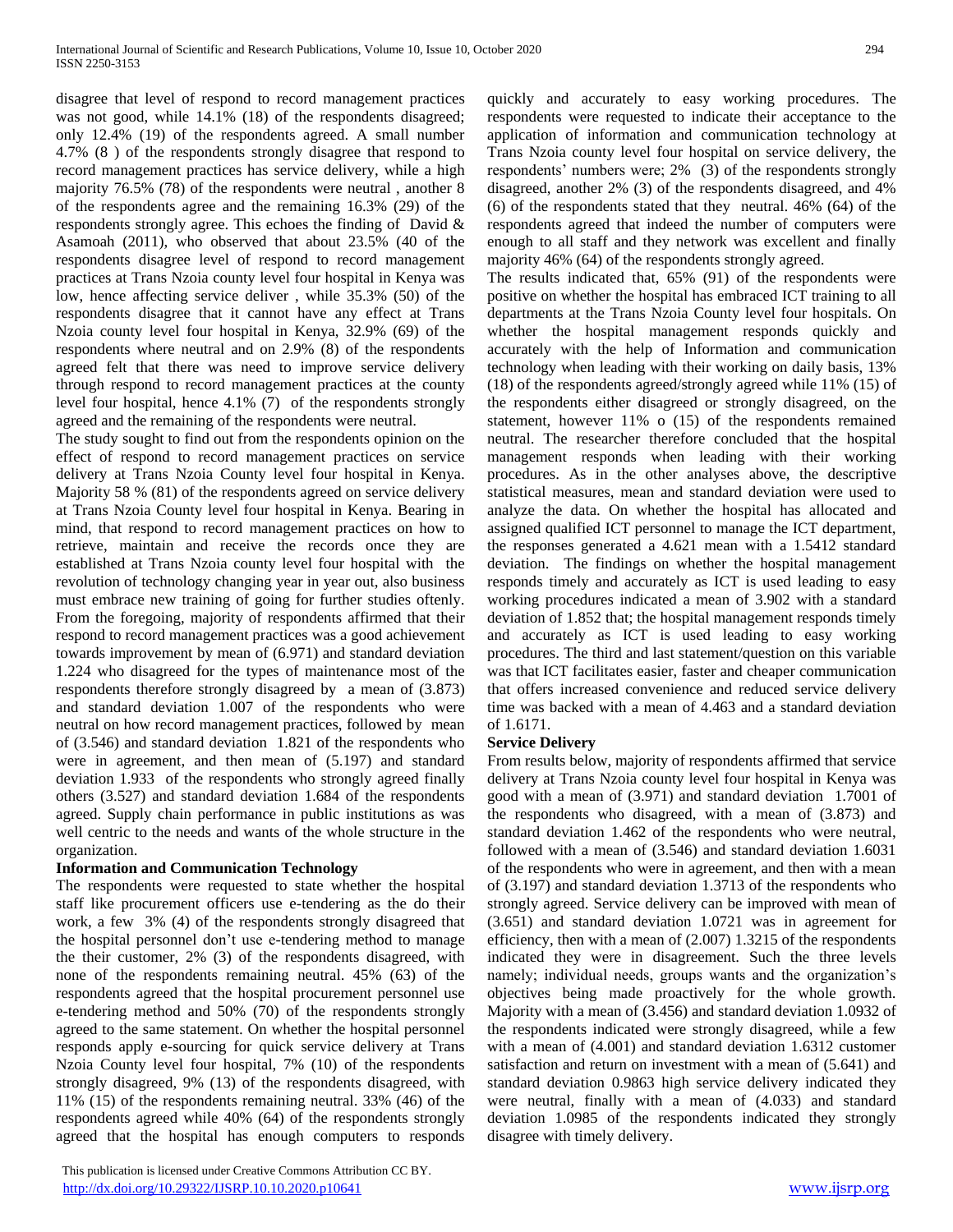disagree that level of respond to record management practices was not good, while 14.1% (18) of the respondents disagreed; only 12.4% (19) of the respondents agreed. A small number 4.7% (8 ) of the respondents strongly disagree that respond to record management practices has service delivery, while a high majority 76.5% (78) of the respondents were neutral , another 8 of the respondents agree and the remaining 16.3% (29) of the respondents strongly agree. This echoes the finding of David & Asamoah (2011), who observed that about 23.5% (40 of the respondents disagree level of respond to record management practices at Trans Nzoia county level four hospital in Kenya was low, hence affecting service deliver , while 35.3% (50) of the respondents disagree that it cannot have any effect at Trans Nzoia county level four hospital in Kenya, 32.9% (69) of the respondents where neutral and on 2.9% (8) of the respondents agreed felt that there was need to improve service delivery through respond to record management practices at the county level four hospital, hence 4.1% (7) of the respondents strongly agreed and the remaining of the respondents were neutral.

The study sought to find out from the respondents opinion on the effect of respond to record management practices on service delivery at Trans Nzoia County level four hospital in Kenya. Majority 58 % (81) of the respondents agreed on service delivery at Trans Nzoia County level four hospital in Kenya. Bearing in mind, that respond to record management practices on how to retrieve, maintain and receive the records once they are established at Trans Nzoia county level four hospital with the revolution of technology changing year in year out, also business must embrace new training of going for further studies oftenly. From the foregoing, majority of respondents affirmed that their respond to record management practices was a good achievement towards improvement by mean of (6.971) and standard deviation 1.224 who disagreed for the types of maintenance most of the respondents therefore strongly disagreed by a mean of (3.873) and standard deviation 1.007 of the respondents who were neutral on how record management practices, followed by mean of (3.546) and standard deviation 1.821 of the respondents who were in agreement, and then mean of (5.197) and standard deviation 1.933 of the respondents who strongly agreed finally others (3.527) and standard deviation 1.684 of the respondents agreed. Supply chain performance in public institutions as was well centric to the needs and wants of the whole structure in the organization.

# **Information and Communication Technology**

The respondents were requested to state whether the hospital staff like procurement officers use e-tendering as the do their work, a few 3% (4) of the respondents strongly disagreed that the hospital personnel don't use e-tendering method to manage the their customer, 2% (3) of the respondents disagreed, with none of the respondents remaining neutral. 45% (63) of the respondents agreed that the hospital procurement personnel use e-tendering method and 50% (70) of the respondents strongly agreed to the same statement. On whether the hospital personnel responds apply e-sourcing for quick service delivery at Trans Nzoia County level four hospital, 7% (10) of the respondents strongly disagreed, 9% (13) of the respondents disagreed, with 11% (15) of the respondents remaining neutral. 33% (46) of the respondents agreed while 40% (64) of the respondents strongly agreed that the hospital has enough computers to responds quickly and accurately to easy working procedures. The respondents were requested to indicate their acceptance to the application of information and communication technology at Trans Nzoia county level four hospital on service delivery, the respondents' numbers were; 2% (3) of the respondents strongly disagreed, another 2% (3) of the respondents disagreed, and 4% (6) of the respondents stated that they neutral. 46% (64) of the respondents agreed that indeed the number of computers were enough to all staff and they network was excellent and finally majority 46% (64) of the respondents strongly agreed.

The results indicated that, 65% (91) of the respondents were positive on whether the hospital has embraced ICT training to all departments at the Trans Nzoia County level four hospitals. On whether the hospital management responds quickly and accurately with the help of Information and communication technology when leading with their working on daily basis, 13% (18) of the respondents agreed/strongly agreed while 11% (15) of the respondents either disagreed or strongly disagreed, on the statement, however 11% o (15) of the respondents remained neutral. The researcher therefore concluded that the hospital management responds when leading with their working procedures. As in the other analyses above, the descriptive statistical measures, mean and standard deviation were used to analyze the data. On whether the hospital has allocated and assigned qualified ICT personnel to manage the ICT department, the responses generated a 4.621 mean with a 1.5412 standard deviation. The findings on whether the hospital management responds timely and accurately as ICT is used leading to easy working procedures indicated a mean of 3.902 with a standard deviation of 1.852 that; the hospital management responds timely and accurately as ICT is used leading to easy working procedures. The third and last statement/question on this variable was that ICT facilitates easier, faster and cheaper communication that offers increased convenience and reduced service delivery time was backed with a mean of 4.463 and a standard deviation of 1.6171.

## **Service Delivery**

From results below, majority of respondents affirmed that service delivery at Trans Nzoia county level four hospital in Kenya was good with a mean of (3.971) and standard deviation 1.7001 of the respondents who disagreed, with a mean of (3.873) and standard deviation 1.462 of the respondents who were neutral, followed with a mean of (3.546) and standard deviation 1.6031 of the respondents who were in agreement, and then with a mean of (3.197) and standard deviation 1.3713 of the respondents who strongly agreed. Service delivery can be improved with mean of (3.651) and standard deviation 1.0721 was in agreement for efficiency, then with a mean of (2.007) 1.3215 of the respondents indicated they were in disagreement. Such the three levels namely; individual needs, groups wants and the organization's objectives being made proactively for the whole growth. Majority with a mean of (3.456) and standard deviation 1.0932 of the respondents indicated were strongly disagreed, while a few with a mean of (4.001) and standard deviation 1.6312 customer satisfaction and return on investment with a mean of (5.641) and standard deviation 0.9863 high service delivery indicated they were neutral, finally with a mean of (4.033) and standard deviation 1.0985 of the respondents indicated they strongly disagree with timely delivery.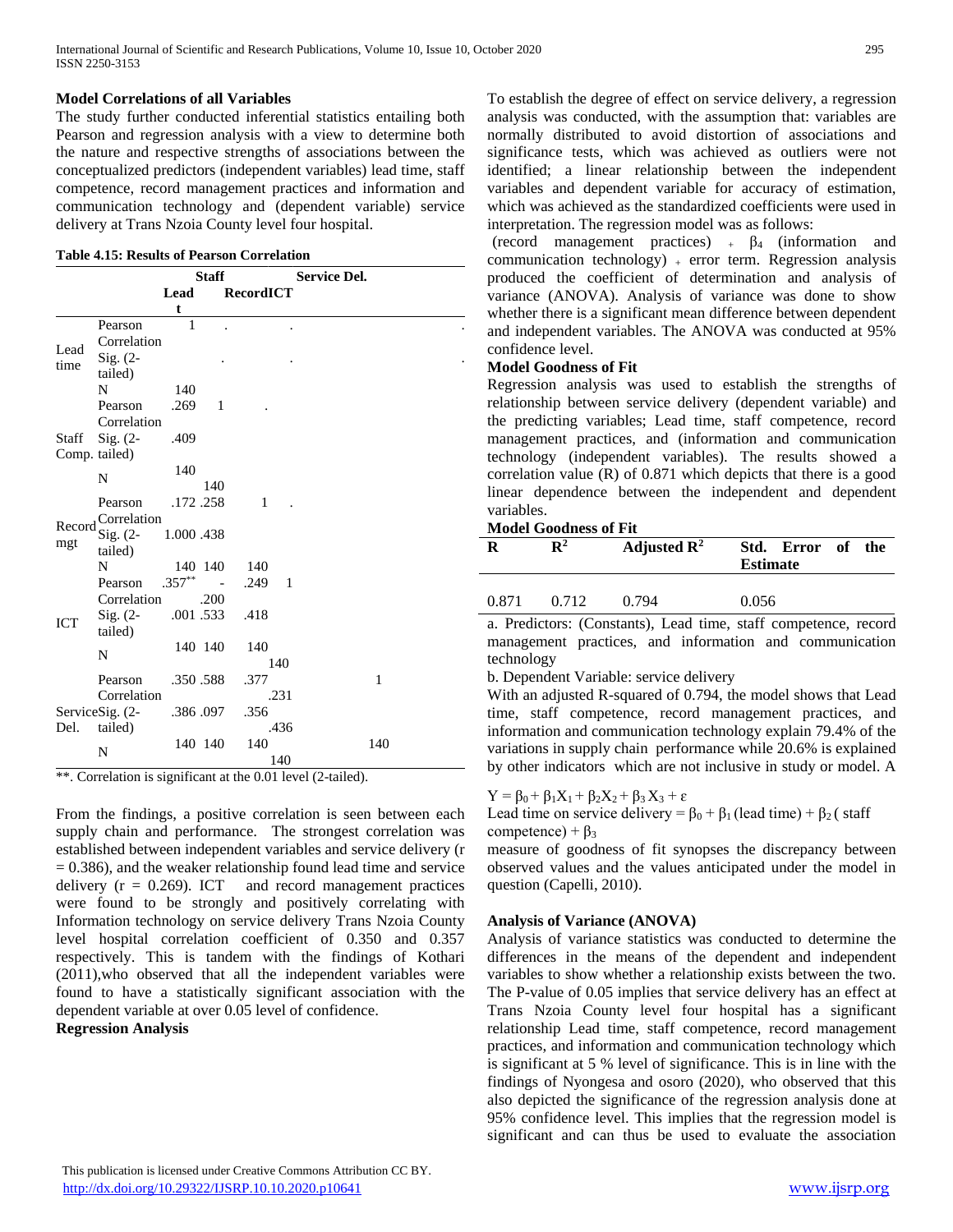## **Model Correlations of all Variables**

The study further conducted inferential statistics entailing both Pearson and regression analysis with a view to determine both the nature and respective strengths of associations between the conceptualized predictors (independent variables) lead time, staff competence, record management practices and information and communication technology and (dependent variable) service delivery at Trans Nzoia County level four hospital.

|  |  |  |  | <b>Table 4.15: Results of Pearson Correlation</b> |
|--|--|--|--|---------------------------------------------------|
|--|--|--|--|---------------------------------------------------|

|              |                           | <b>Staff</b> |              |                | <b>Service Del.</b> |  |              |
|--------------|---------------------------|--------------|--------------|----------------|---------------------|--|--------------|
|              |                           | Lead         |              | RecordICT      |                     |  |              |
|              |                           | t            |              |                |                     |  |              |
|              | Pearson                   | $\mathbf{1}$ |              |                |                     |  |              |
| Lead<br>time | Correlation               |              |              |                |                     |  |              |
|              | $Sig. (2-$                |              |              |                |                     |  |              |
|              | tailed)                   |              |              |                |                     |  |              |
|              | N                         | 140          |              |                |                     |  |              |
|              | Pearson                   | .269         | $\mathbf{1}$ |                |                     |  |              |
|              | Correlation               |              |              |                |                     |  |              |
| Staff        | $Sig. (2-$                | .409         |              |                |                     |  |              |
|              | Comp. tailed)             |              |              |                |                     |  |              |
|              | N                         | 140          |              |                |                     |  |              |
|              |                           |              | 140          |                |                     |  |              |
|              | Pearson                   |              | .172.258     | $\mathbf{1}$   |                     |  |              |
| Record       | Correlation               |              |              |                |                     |  |              |
| mgt          | $Sig. (2-$                | 1.000 .438   |              |                |                     |  |              |
|              | tailed)                   |              |              |                |                     |  |              |
|              | N                         |              | 140 140      | - 140          |                     |  |              |
|              | Pearson                   | $.357***$ -  |              | $.249 \quad 1$ |                     |  |              |
|              | Correlation               |              | .200         |                |                     |  |              |
| <b>ICT</b>   | $\mathrm{Sig.}$ (2-       |              | .001.533     | .418           |                     |  |              |
|              | tailed)                   |              |              |                |                     |  |              |
|              | N                         |              | 140 140      | 140            |                     |  |              |
|              |                           |              |              |                | 140                 |  |              |
|              | Pearson                   |              | .350.588     | .377           |                     |  | $\mathbf{1}$ |
|              | Correlation               |              |              |                | .231                |  |              |
|              | Service $\text{Sig.}$ (2- |              | .386.097     | .356           |                     |  |              |
| Del.         | tailed)                   |              |              |                | .436                |  |              |
|              | N                         |              | 140 140      | 140            |                     |  | 140          |
|              |                           |              |              |                | 140                 |  |              |

\*\*. Correlation is significant at the 0.01 level (2-tailed).

From the findings, a positive correlation is seen between each supply chain and performance. The strongest correlation was established between independent variables and service delivery (r  $= 0.386$ ), and the weaker relationship found lead time and service delivery  $(r = 0.269)$ . ICT and record management practices were found to be strongly and positively correlating with Information technology on service delivery Trans Nzoia County level hospital correlation coefficient of 0.350 and 0.357 respectively. This is tandem with the findings of Kothari (2011),who observed that all the independent variables were found to have a statistically significant association with the dependent variable at over 0.05 level of confidence.

**Regression Analysis**

To establish the degree of effect on service delivery, a regression analysis was conducted, with the assumption that: variables are normally distributed to avoid distortion of associations and significance tests, which was achieved as outliers were not identified; a linear relationship between the independent variables and dependent variable for accuracy of estimation, which was achieved as the standardized coefficients were used in interpretation. The regression model was as follows:

(record management practices)  $+ \beta_4$  (information and communication technology)  $+$  error term. Regression analysis produced the coefficient of determination and analysis of variance (ANOVA). Analysis of variance was done to show whether there is a significant mean difference between dependent and independent variables. The ANOVA was conducted at 95% confidence level.

## **Model Goodness of Fit**

Regression analysis was used to establish the strengths of relationship between service delivery (dependent variable) and the predicting variables; Lead time, staff competence, record management practices, and (information and communication technology (independent variables). The results showed a correlation value (R) of 0.871 which depicts that there is a good linear dependence between the independent and dependent variables.

#### **Model Goodness of Fit**

|       | $\mathbf{R}^2$ | Adjusted $\mathbb{R}^2$ | Std. Error of<br><b>Estimate</b> | the |
|-------|----------------|-------------------------|----------------------------------|-----|
| 0.871 | 0.712          | 0.794                   | 0.056                            |     |

a. Predictors: (Constants), Lead time, staff competence, record management practices, and information and communication technology

b. Dependent Variable: service delivery

With an adjusted R-squared of 0.794, the model shows that Lead time, staff competence, record management practices, and information and communication technology explain 79.4% of the variations in supply chain performance while 20.6% is explained by other indicators which are not inclusive in study or model. A

# $Y = \beta_0 + \beta_1 X_1 + \beta_2 X_2 + \beta_3 X_3 + \varepsilon$

Lead time on service delivery =  $\beta_0 + \beta_1$  (lead time) +  $\beta_2$  (staff competence) +  $\beta_3$ 

measure of goodness of fit synopses the discrepancy between observed values and the values anticipated under the model in question (Capelli, 2010).

## **Analysis of Variance (ANOVA)**

Analysis of variance statistics was conducted to determine the differences in the means of the dependent and independent variables to show whether a relationship exists between the two. The P-value of 0.05 implies that service delivery has an effect at Trans Nzoia County level four hospital has a significant relationship Lead time, staff competence, record management practices, and information and communication technology which is significant at 5 % level of significance. This is in line with the findings of Nyongesa and osoro (2020), who observed that this also depicted the significance of the regression analysis done at 95% confidence level. This implies that the regression model is significant and can thus be used to evaluate the association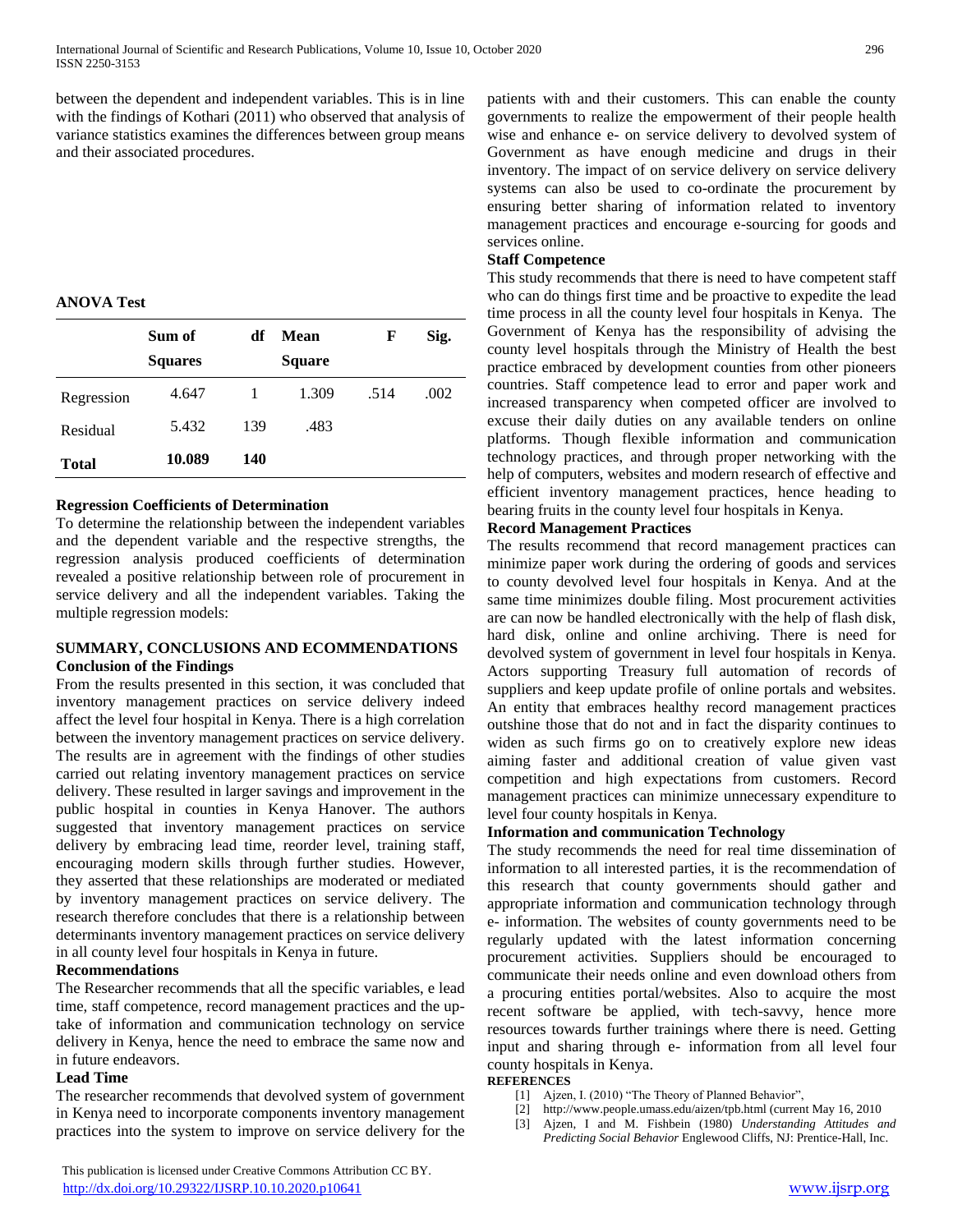between the dependent and independent variables. This is in line with the findings of Kothari (2011) who observed that analysis of variance statistics examines the differences between group means and their associated procedures.

## **ANOVA Test**

|              | Sum of<br><b>Squares</b> | df  | Mean<br><b>Square</b> | F    | Sig. |
|--------------|--------------------------|-----|-----------------------|------|------|
| Regression   | 4.647                    |     | 1.309                 | .514 | .002 |
| Residual     | 5.432                    | 139 | .483                  |      |      |
| <b>Total</b> | 10.089                   | 140 |                       |      |      |

## **Regression Coefficients of Determination**

To determine the relationship between the independent variables and the dependent variable and the respective strengths, the regression analysis produced coefficients of determination revealed a positive relationship between role of procurement in service delivery and all the independent variables. Taking the multiple regression models:

#### **SUMMARY, CONCLUSIONS AND ECOMMENDATIONS Conclusion of the Findings**

From the results presented in this section, it was concluded that inventory management practices on service delivery indeed affect the level four hospital in Kenya. There is a high correlation between the inventory management practices on service delivery. The results are in agreement with the findings of other studies carried out relating inventory management practices on service delivery. These resulted in larger savings and improvement in the public hospital in counties in Kenya Hanover. The authors suggested that inventory management practices on service delivery by embracing lead time, reorder level, training staff, encouraging modern skills through further studies. However, they asserted that these relationships are moderated or mediated by inventory management practices on service delivery. The research therefore concludes that there is a relationship between determinants inventory management practices on service delivery in all county level four hospitals in Kenya in future.

## **Recommendations**

The Researcher recommends that all the specific variables, e lead time, staff competence, record management practices and the uptake of information and communication technology on service delivery in Kenya, hence the need to embrace the same now and in future endeavors.

#### **Lead Time**

The researcher recommends that devolved system of government in Kenya need to incorporate components inventory management practices into the system to improve on service delivery for the

 This publication is licensed under Creative Commons Attribution CC BY. <http://dx.doi.org/10.29322/IJSRP.10.10.2020.p10641> [www.ijsrp.org](http://ijsrp.org/)

patients with and their customers. This can enable the county governments to realize the empowerment of their people health wise and enhance e- on service delivery to devolved system of Government as have enough medicine and drugs in their inventory. The impact of on service delivery on service delivery systems can also be used to co-ordinate the procurement by ensuring better sharing of information related to inventory management practices and encourage e-sourcing for goods and services online.

## **Staff Competence**

This study recommends that there is need to have competent staff who can do things first time and be proactive to expedite the lead time process in all the county level four hospitals in Kenya. The Government of Kenya has the responsibility of advising the county level hospitals through the Ministry of Health the best practice embraced by development counties from other pioneers countries. Staff competence lead to error and paper work and increased transparency when competed officer are involved to excuse their daily duties on any available tenders on online platforms. Though flexible information and communication technology practices, and through proper networking with the help of computers, websites and modern research of effective and efficient inventory management practices, hence heading to bearing fruits in the county level four hospitals in Kenya.

#### **Record Management Practices**

The results recommend that record management practices can minimize paper work during the ordering of goods and services to county devolved level four hospitals in Kenya. And at the same time minimizes double filing. Most procurement activities are can now be handled electronically with the help of flash disk, hard disk, online and online archiving. There is need for devolved system of government in level four hospitals in Kenya. Actors supporting Treasury full automation of records of suppliers and keep update profile of online portals and websites. An entity that embraces healthy record management practices outshine those that do not and in fact the disparity continues to widen as such firms go on to creatively explore new ideas aiming faster and additional creation of value given vast competition and high expectations from customers. Record management practices can minimize unnecessary expenditure to level four county hospitals in Kenya.

# **Information and communication Technology**

The study recommends the need for real time dissemination of information to all interested parties, it is the recommendation of this research that county governments should gather and appropriate information and communication technology through e- information. The websites of county governments need to be regularly updated with the latest information concerning procurement activities. Suppliers should be encouraged to communicate their needs online and even download others from a procuring entities portal/websites. Also to acquire the most recent software be applied, with tech-savvy, hence more resources towards further trainings where there is need. Getting input and sharing through e- information from all level four county hospitals in Kenya.

# **REFERENCES**

- [1] Ajzen, I. (2010) "The Theory of Planned Behavior",
- [2] http://www.people.umass.edu/aizen/tpb.html (current May 16, 2010
- [3] Ajzen, I and M. Fishbein (1980) *Understanding Attitudes and Predicting Social Behavior* Englewood Cliffs, NJ: Prentice-Hall, Inc.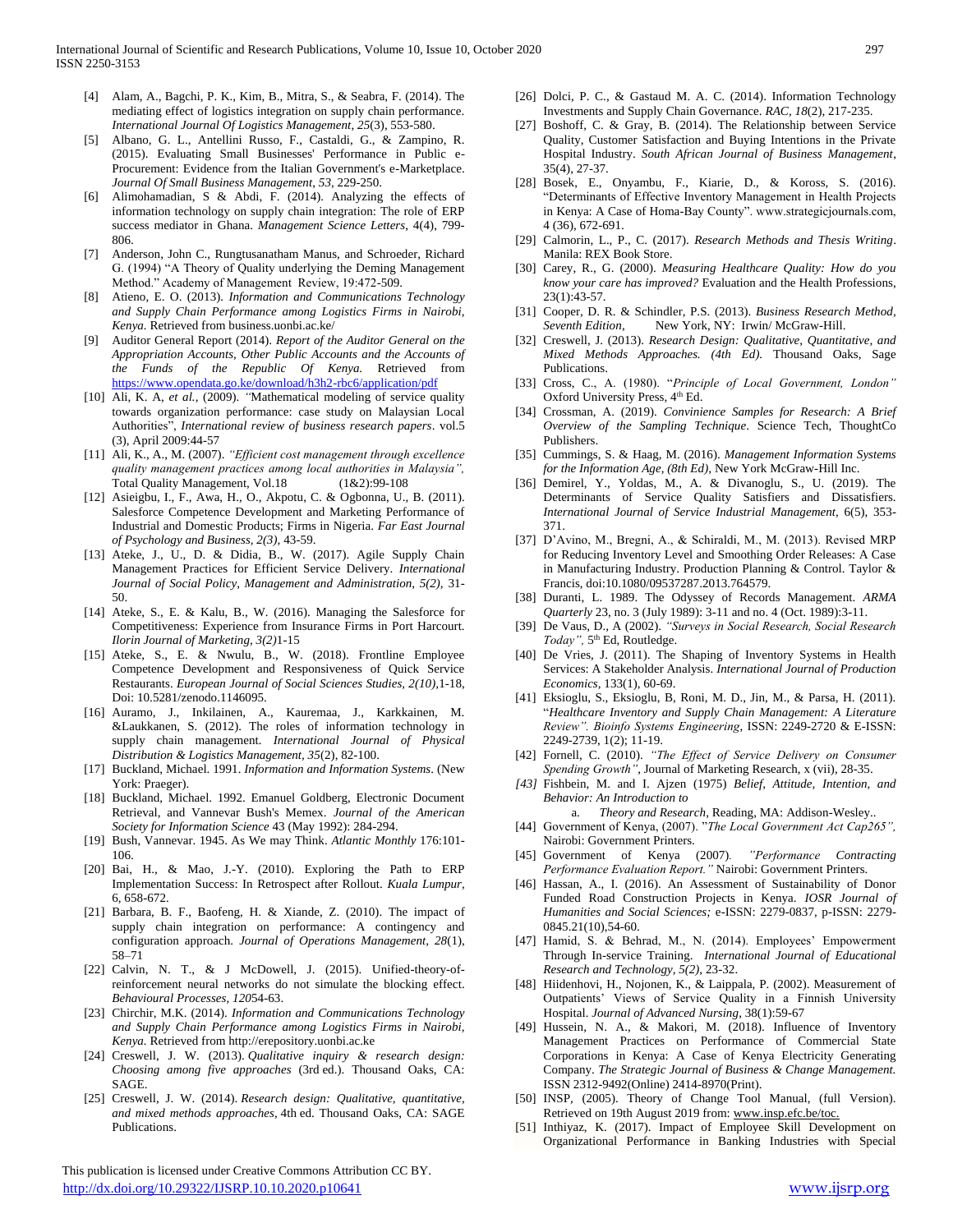- [4] Alam, A., Bagchi, P. K., Kim, B., Mitra, S., & Seabra, F. (2014). The mediating effect of logistics integration on supply chain performance. *International Journal Of Logistics Management*, *25*(3), 553-580.
- [5] Albano, G. L., Antellini Russo, F., Castaldi, G., & Zampino, R. (2015). Evaluating Small Businesses' Performance in Public e-Procurement: Evidence from the Italian Government's e-Marketplace. *Journal Of Small Business Management*, *53,* 229-250.
- [6] Alimohamadian, S & Abdi, F. (2014). Analyzing the effects of information technology on supply chain integration: The role of ERP success mediator in Ghana. *Management Science Letters*, 4(4), 799- 806.
- [7] Anderson, John C., Rungtusanatham Manus, and Schroeder, Richard G. (1994) "A Theory of Quality underlying the Deming Management Method." Academy of Management Review, 19:472-509.
- [8] Atieno, E. O. (2013). *Information and Communications Technology and Supply Chain Performance among Logistics Firms in Nairobi, Kenya.* Retrieved from business.uonbi.ac.ke/
- [9] Auditor General Report (2014). *Report of the Auditor General on the Appropriation Accounts, Other Public Accounts and the Accounts of the Funds of the Republic Of Kenya.* Retrieved from <https://www.opendata.go.ke/download/h3h2-rbc6/application/pdf>
- [10] Ali, K. A, *et al.*, (2009). *"*Mathematical modeling of service quality towards organization performance: case study on Malaysian Local Authorities", *International review of business research papers*. vol.5 (3), April 2009:44-57
- [11] Ali, K., A., M. (2007). *"Efficient cost management through excellence quality management practices among local authorities in Malaysia",* Total Quality Management, Vol.18 (1&2):99-108
- [12] Asieigbu, I., F., Awa, H., O., Akpotu, C. & Ogbonna, U., B. (2011). Salesforce Competence Development and Marketing Performance of Industrial and Domestic Products; Firms in Nigeria. *Far East Journal of Psychology and Business, 2(3),* 43-59.
- [13] Ateke, J., U., D. & Didia, B., W. (2017). Agile Supply Chain Management Practices for Efficient Service Delivery. *International Journal of Social Policy, Management and Administration, 5(2),* 31- 50.
- [14] Ateke, S., E. & Kalu, B., W. (2016). Managing the Salesforce for Competitiveness: Experience from Insurance Firms in Port Harcourt. *Ilorin Journal of Marketing, 3(2)*1-15
- [15] Ateke, S., E. & Nwulu, B., W. (2018). Frontline Employee Competence Development and Responsiveness of Quick Service Restaurants. *European Journal of Social Sciences Studies, 2(10),*1-18, Doi: 10.5281/zenodo.1146095.
- [16] Auramo, J., Inkilainen, A., Kauremaa, J., Karkkainen, M. &Laukkanen, S. (2012). The roles of information technology in supply chain management*. International Journal of Physical Distribution & Logistics Management, 35*(2), 82-100.
- [17] Buckland, Michael. 1991. *Information and Information Systems*. (New York: Praeger).
- [18] Buckland, Michael. 1992. Emanuel Goldberg, Electronic Document Retrieval, and Vannevar Bush's Memex. *Journal of the American Society for Information Science* 43 (May 1992): 284-294.
- [19] Bush, Vannevar. 1945. As We may Think. *Atlantic Monthly* 176:101- 106.
- [20] Bai, H., & Mao, J.-Y. (2010). Exploring the Path to ERP Implementation Success: In Retrospect after Rollout. *Kuala Lumpur,* 6, 658-672.
- [21] Barbara, B. F., Baofeng, H. & Xiande, Z. (2010). The impact of supply chain integration on performance: A contingency and configuration approach. *Journal of Operations Management, 28*(1), 58–71
- [22] Calvin, N. T., & J McDowell, J. (2015). Unified-theory-ofreinforcement neural networks do not simulate the blocking effect. *Behavioural Processes*, *120*54-63.
- [23] Chirchir, M.K. (2014). *Information and Communications Technology and Supply Chain Performance among Logistics Firms in Nairobi, Kenya.* Retrieved from http://erepository.uonbi.ac.ke
- [24] Creswell, J. W. (2013). *Qualitative inquiry & research design: Choosing among five approaches* (3rd ed.). Thousand Oaks, CA: SAGE.
- [25] Creswell, J. W. (2014). *Research design: Qualitative, quantitative, and mixed methods approaches*, 4th ed. Thousand Oaks, CA: SAGE Publications.

 This publication is licensed under Creative Commons Attribution CC BY. <http://dx.doi.org/10.29322/IJSRP.10.10.2020.p10641> [www.ijsrp.org](http://ijsrp.org/)

- [26] Dolci, P. C., & Gastaud M. A. C. (2014). Information Technology Investments and Supply Chain Governance. *RAC, 18*(2), 217-235.
- [27] Boshoff, C. & Gray, B. (2014). The Relationship between Service Quality, Customer Satisfaction and Buying Intentions in the Private Hospital Industry. *South African Journal of Business Management*, 35(4), 27-37.
- [28] Bosek, E., Onyambu, F., Kiarie, D., & Koross, S. (2016). "Determinants of Effective Inventory Management in Health Projects in Kenya: A Case of Homa-Bay County". www.strategicjournals.com, 4 (36), 672-691.
- [29] Calmorin, L., P., C. (2017). *Research Methods and Thesis Writing*. Manila: REX Book Store.
- [30] Carey, R., G. (2000). *Measuring Healthcare Quality: How do you know your care has improved?* Evaluation and the Health Professions, 23(1):43-57.
- [31] Cooper, D. R. & Schindler, P.S. (2013). *Business Research Method, Seventh Edition*, New York, NY: Irwin/ McGraw-Hill.
- [32] Creswell, J. (2013). *Research Design: Qualitative, Quantitative, and Mixed Methods Approaches. (4th Ed).* Thousand Oaks, Sage Publications.
- [33] Cross, C., A. (1980). "*Principle of Local Government, London"* Oxford University Press, 4<sup>th</sup> Ed.
- [34] Crossman, A. (2019). *Convinience Samples for Research: A Brief Overview of the Sampling Technique*. Science Tech, ThoughtCo Publishers.
- [35] Cummings, S. & Haag, M. (2016). *Management Information Systems for the Information Age, (8th Ed),* New York McGraw-Hill Inc.
- [36] Demirel, Y., Yoldas, M., A. & Divanoglu, S., U. (2019). The Determinants of Service Quality Satisfiers and Dissatisfiers. *International Journal of Service Industrial Management,* 6(5), 353- 371.
- [37] D'Avino, M., Bregni, A., & Schiraldi, M., M. (2013). Revised MRP for Reducing Inventory Level and Smoothing Order Releases: A Case in Manufacturing Industry. Production Planning & Control. Taylor & Francis, doi:10.1080/09537287.2013.764579.
- [38] Duranti, L. 1989. The Odyssey of Records Management. *ARMA Quarterly* 23, no. 3 (July 1989): 3-11 and no. 4 (Oct. 1989):3-11.
- [39] De Vaus, D., A (2002). *"Surveys in Social Research, Social Research*  Today", 5<sup>th</sup> Ed, Routledge.
- [40] De Vries, J. (2011). The Shaping of Inventory Systems in Health Services: A Stakeholder Analysis. *International Journal of Production Economics,* 133(1), 60-69.
- [41] Eksioglu, S., Eksioglu, B, Roni, M. D., Jin, M., & Parsa, H. (2011). "*Healthcare Inventory and Supply Chain Management: A Literature Review". Bioinfo Systems Engineering*, ISSN: 2249-2720 & E-ISSN: 2249-2739, 1(2); 11-19.
- [42] Fornell, C. (2010). *"The Effect of Service Delivery on Consumer Spending Growth"*, Journal of Marketing Research, x (vii), 28-35.
- *[43]* Fishbein, M. and I. Ajzen (1975) *Belief, Attitude, Intention, and Behavior: An Introduction to*

a. *Theory and Research*, Reading, MA: Addison-Wesley..

- [44] Government of Kenya, (2007). "*The Local Government Act Cap265",*  Nairobi: Government Printers.
- [45] Government of Kenya (2007)*. "Performance Contracting Performance Evaluation Report."* Nairobi: Government Printers.
- [46] Hassan, A., I. (2016). An Assessment of Sustainability of Donor Funded Road Construction Projects in Kenya. *IOSR Journal of Humanities and Social Sciences;* e-ISSN: 2279-0837, p-ISSN: 2279- 0845.21(10),54-60.
- [47] Hamid, S. & Behrad, M., N. (2014). Employees' Empowerment Through In-service Training. *International Journal of Educational Research and Technology, 5(2),* 23-32.
- [48] Hiidenhovi, H., Nojonen, K., & Laippala, P. (2002). Measurement of Outpatients' Views of Service Quality in a Finnish University Hospital. *Journal of Advanced Nursing*, 38(1):59-67
- [49] Hussein, N. A., & Makori, M. (2018). Influence of Inventory Management Practices on Performance of Commercial State Corporations in Kenya: A Case of Kenya Electricity Generating Company. *The Strategic Journal of Business & Change Management.*  ISSN 2312-9492(Online) 2414-8970(Print).
- [50] INSP, (2005). Theory of Change Tool Manual, (full Version). Retrieved on 19th August 2019 from: www.insp.efc.be/toc.
- [51] Inthiyaz, K. (2017). Impact of Employee Skill Development on Organizational Performance in Banking Industries with Special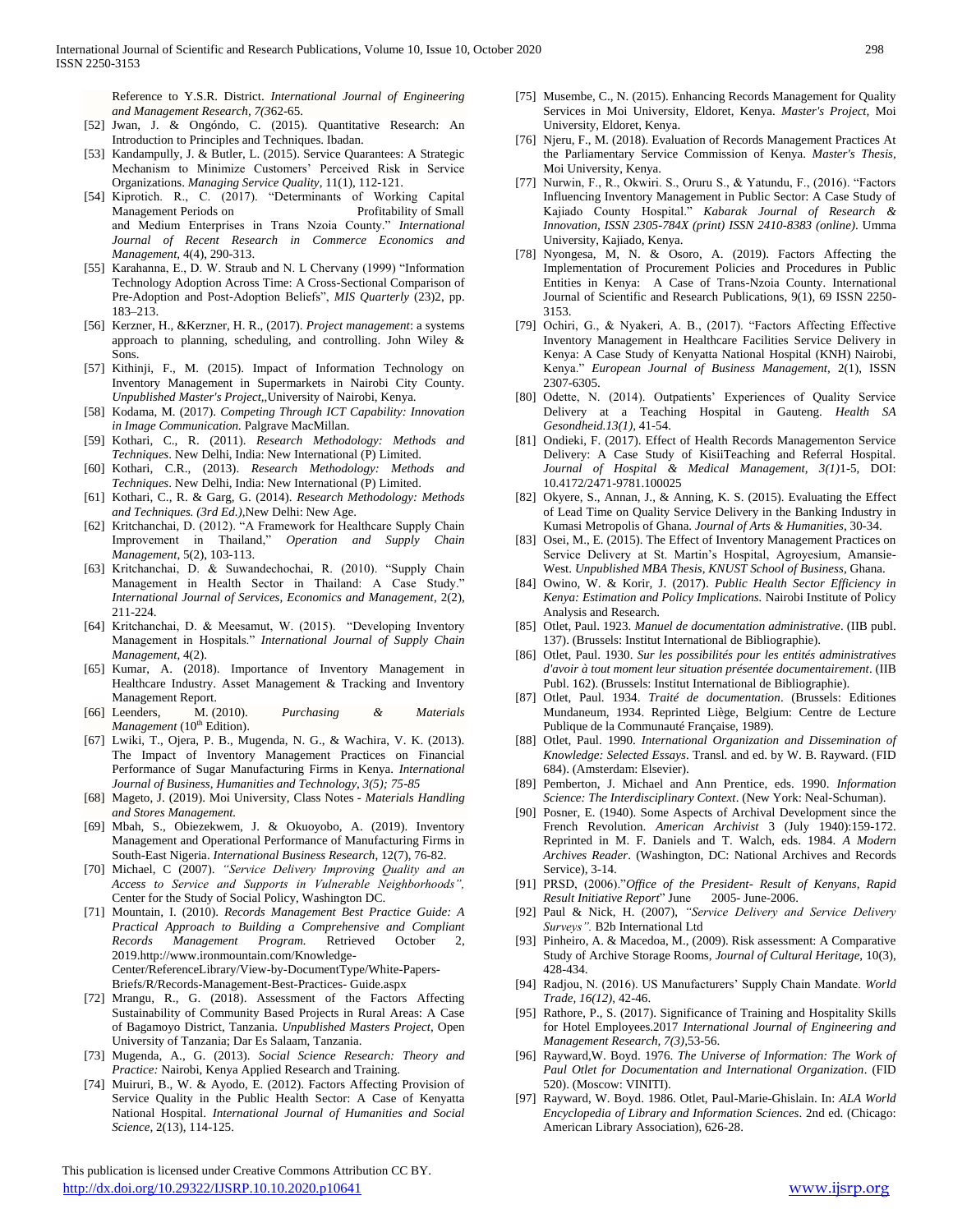Reference to Y.S.R. District. *International Journal of Engineering and Management Research, 7(3*62-65.

- [52] Jwan, J. & Ongóndo, C. (2015). Quantitative Research: An Introduction to Principles and Techniques. Ibadan.
- [53] Kandampully, J. & Butler, L. (2015). Service Quarantees: A Strategic Mechanism to Minimize Customers' Perceived Risk in Service Organizations. *Managing Service Quality*, 11(1), 112-121.
- [54] Kiprotich. R., C. (2017). "Determinants of Working Capital Management Periods on Profitability of Small and Medium Enterprises in Trans Nzoia County." *International Journal of Recent Research in Commerce Economics and Management,* 4(4), 290-313.
- [55] Karahanna, E., D. W. Straub and N. L Chervany (1999) "Information Technology Adoption Across Time: A Cross-Sectional Comparison of Pre-Adoption and Post-Adoption Beliefs", *MIS Quarterly* (23)2, pp. 183–213.
- [56] Kerzner, H., &Kerzner, H. R., (2017). *Project management*: a systems approach to planning, scheduling, and controlling. John Wiley & Sons.
- [57] Kithinji, F., M. (2015). Impact of Information Technology on Inventory Management in Supermarkets in Nairobi City County. *Unpublished Master's Project,*,University of Nairobi, Kenya.
- [58] Kodama, M. (2017). *Competing Through ICT Capability: Innovation in Image Communication.* Palgrave MacMillan.
- [59] Kothari, C., R. (2011). *Research Methodology: Methods and Techniques*. New Delhi, India: New International (P) Limited.
- [60] Kothari, C.R., (2013). *Research Methodology: Methods and Techniques*. New Delhi, India: New International (P) Limited.
- [61] Kothari, C., R. & Garg, G. (2014). *Research Methodology: Methods and Techniques. (3rd Ed.),*New Delhi: New Age.
- [62] Kritchanchai, D. (2012). "A Framework for Healthcare Supply Chain Improvement in Thailand," *Operation and Supply Chain Management*, 5(2), 103-113.
- [63] Kritchanchai, D. & Suwandechochai, R. (2010). "Supply Chain Management in Health Sector in Thailand: A Case Study." *International Journal of Services, Economics and Management*, 2(2), 211-224.
- [64] Kritchanchai, D. & Meesamut, W. (2015). "Developing Inventory Management in Hospitals." *International Journal of Supply Chain Management*, 4(2).
- [65] Kumar, A. (2018). Importance of Inventory Management in Healthcare Industry. Asset Management & Tracking and Inventory Management Report.
- [66] Leenders, M. (2010). *Purchasing & Materials Management* (10<sup>th</sup> Edition).
- [67] Lwiki, T., Ojera, P. B., Mugenda, N. G., & Wachira, V. K. (2013). The Impact of Inventory Management Practices on Financial Performance of Sugar Manufacturing Firms in Kenya. *International Journal of Business, Humanities and Technology, 3(5); 75-85*
- [68] Mageto, J. (2019). Moi University, Class Notes *- Materials Handling and Stores Management.*
- [69] Mbah, S., Obiezekwem, J. & Okuoyobo, A. (2019). Inventory Management and Operational Performance of Manufacturing Firms in South-East Nigeria. *International Business Research*, 12(7), 76-82.
- [70] Michael, C (2007). *"Service Delivery Improving Quality and an Access to Service and Supports in Vulnerable Neighborhoods",* Center for the Study of Social Policy, Washington DC.
- [71] Mountain, I. (2010). *Records Management Best Practice Guide: A Practical Approach to Building a Comprehensive and Compliant Records Management Program.* Retrieved October 2, 2019.http://www.ironmountain.com/Knowledge-Center/ReferenceLibrary/View-by-DocumentType/White-Papers-Briefs/R/Records-Management-Best-Practices- Guide.aspx
- [72] Mrangu, R., G. (2018). Assessment of the Factors Affecting Sustainability of Community Based Projects in Rural Areas: A Case of Bagamoyo District, Tanzania. *Unpublished Masters Project*, Open University of Tanzania; Dar Es Salaam, Tanzania.
- [73] Mugenda, A., G. (2013). *Social Science Research: Theory and Practice:* Nairobi, Kenya Applied Research and Training.
- [74] Muiruri, B., W. & Ayodo, E. (2012). Factors Affecting Provision of Service Quality in the Public Health Sector: A Case of Kenyatta National Hospital. *International Journal of Humanities and Social Science,* 2(13), 114-125.

 This publication is licensed under Creative Commons Attribution CC BY. <http://dx.doi.org/10.29322/IJSRP.10.10.2020.p10641> [www.ijsrp.org](http://ijsrp.org/)

- [75] Musembe, C., N. (2015). Enhancing Records Management for Quality Services in Moi University, Eldoret, Kenya. *Master's Project,* Moi University, Eldoret, Kenya.
- [76] Njeru, F., M. (2018). Evaluation of Records Management Practices At the Parliamentary Service Commission of Kenya. *Master's Thesis,*  Moi University, Kenya.
- [77] Nurwin, F., R., Okwiri. S., Oruru S., & Yatundu, F., (2016). "Factors Influencing Inventory Management in Public Sector: A Case Study of Kajiado County Hospital." *Kabarak Journal of Research & Innovation, ISSN 2305-784X (print) ISSN 2410-8383 (online)*. Umma University, Kajiado, Kenya.
- [78] Nyongesa, M, N. & Osoro, A. (2019). Factors Affecting the Implementation of Procurement Policies and Procedures in Public Entities in Kenya: A Case of Trans-Nzoia County. International Journal of Scientific and Research Publications, 9(1), 69 ISSN 2250- 3153.
- [79] Ochiri, G., & Nyakeri, A. B., (2017). "Factors Affecting Effective Inventory Management in Healthcare Facilities Service Delivery in Kenya: A Case Study of Kenyatta National Hospital (KNH) Nairobi, Kenya." *European Journal of Business Management,* 2(1), ISSN 2307-6305.
- [80] Odette, N. (2014). Outpatients' Experiences of Quality Service Delivery at a Teaching Hospital in Gauteng. *Health SA Gesondheid.13(1),* 41-54.
- [81] Ondieki, F. (2017). Effect of Health Records Managementon Service Delivery: A Case Study of KisiiTeaching and Referral Hospital. *Journal of Hospital & Medical Management, 3(1)*1-5, DOI: 10.4172/2471-9781.100025
- [82] Okyere, S., Annan, J., & Anning, K. S. (2015). Evaluating the Effect of Lead Time on Quality Service Delivery in the Banking Industry in Kumasi Metropolis of Ghana. *Journal of Arts & Humanities*, 30-34.
- [83] Osei, M., E. (2015). The Effect of Inventory Management Practices on Service Delivery at St. Martin's Hospital, Agroyesium, Amansie-West. *Unpublished MBA Thesis, KNUST School of Business*, Ghana.
- [84] Owino, W. & Korir, J. (2017). *Public Health Sector Efficiency in Kenya: Estimation and Policy Implications.* Nairobi Institute of Policy Analysis and Research.
- [85] Otlet, Paul. 1923. *Manuel de documentation administrative*. (IIB publ. 137). (Brussels: Institut International de Bibliographie).
- [86] Otlet, Paul. 1930. *Sur les possibilités pour les entités administratives d'avoir à tout moment leur situation présentée documentairement*. (IIB Publ. 162). (Brussels: Institut International de Bibliographie).
- [87] Otlet, Paul. 1934. *Traité de documentation*. (Brussels: Editiones Mundaneum, 1934. Reprinted Liège, Belgium: Centre de Lecture Publique de la Communauté Française, 1989).
- [88] Otlet, Paul. 1990. *International Organization and Dissemination of Knowledge: Selected Essays*. Transl. and ed. by W. B. Rayward. (FID 684). (Amsterdam: Elsevier).
- [89] Pemberton, J. Michael and Ann Prentice, eds. 1990. *Information Science: The Interdisciplinary Context*. (New York: Neal-Schuman).
- [90] Posner, E. (1940). Some Aspects of Archival Development since the French Revolution. *American Archivist* 3 (July 1940):159-172. Reprinted in M. F. Daniels and T. Walch, eds. 1984. *A Modern Archives Reader*. (Washington, DC: National Archives and Records Service), 3-14.
- [91] PRSD, (2006)."*Office of the President- Result of Kenyans, Rapid Result Initiative Report*" June 2005- June-2006.
- [92] Paul & Nick, H. (2007), *"Service Delivery and Service Delivery Surveys".* B2b International Ltd
- [93] Pinheiro, A. & Macedoa, M., (2009). Risk assessment: A Comparative Study of Archive Storage Rooms, *Journal of Cultural Heritage,* 10(3), 428-434.
- [94] Radjou, N. (2016). US Manufacturers' Supply Chain Mandate. *World Trade, 16(12),* 42-46.
- [95] Rathore, P., S. (2017). Significance of Training and Hospitality Skills for Hotel Employees.2017 *International Journal of Engineering and Management Research, 7(3),*53-56.
- [96] Rayward,W. Boyd. 1976. *The Universe of Information: The Work of Paul Otlet for Documentation and International Organization*. (FID 520). (Moscow: VINITI).
- [97] Rayward, W. Boyd. 1986. Otlet, Paul-Marie-Ghislain. In: *ALA World Encyclopedia of Library and Information Sciences*. 2nd ed. (Chicago: American Library Association), 626-28.